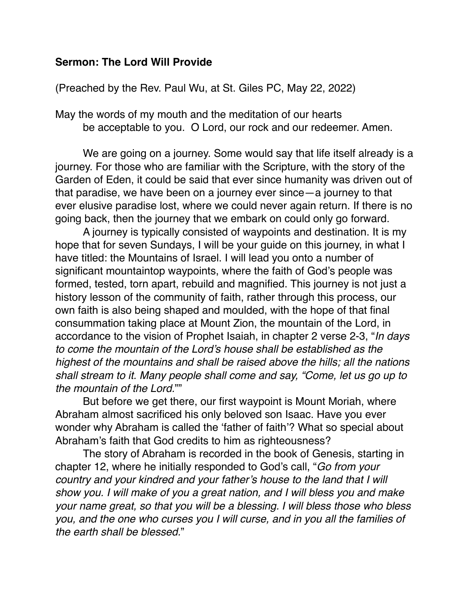## **Sermon: The Lord Will Provide**

(Preached by the Rev. Paul Wu, at St. Giles PC, May 22, 2022)

May the words of my mouth and the meditation of our hearts be acceptable to you. O Lord, our rock and our redeemer. Amen.

We are going on a journey. Some would say that life itself already is a journey. For those who are familiar with the Scripture, with the story of the Garden of Eden, it could be said that ever since humanity was driven out of that paradise, we have been on a journey ever since—a journey to that ever elusive paradise lost, where we could never again return. If there is no going back, then the journey that we embark on could only go forward.

A journey is typically consisted of waypoints and destination. It is my hope that for seven Sundays, I will be your guide on this journey, in what I have titled: the Mountains of Israel. I will lead you onto a number of significant mountaintop waypoints, where the faith of God's people was formed, tested, torn apart, rebuild and magnified. This journey is not just a history lesson of the community of faith, rather through this process, our own faith is also being shaped and moulded, with the hope of that final consummation taking place at Mount Zion, the mountain of the Lord, in accordance to the vision of Prophet Isaiah, in chapter 2 verse 2-3, "*In days to come the mountain of the Lord's house shall be established as the highest of the mountains and shall be raised above the hills; all the nations shall stream to it. Many people shall come and say, "Come, let us go up to the mountain of the Lord.*""

But before we get there, our first waypoint is Mount Moriah, where Abraham almost sacrificed his only beloved son Isaac. Have you ever wonder why Abraham is called the 'father of faith'? What so special about Abraham's faith that God credits to him as righteousness?

The story of Abraham is recorded in the book of Genesis, starting in chapter 12, where he initially responded to God's call, "*Go from your country and your kindred and your father's house to the land that I will show you. I will make of you a great nation, and I will bless you and make your name great, so that you will be a blessing. I will bless those who bless you, and the one who curses you I will curse, and in you all the families of the earth shall be blessed.*"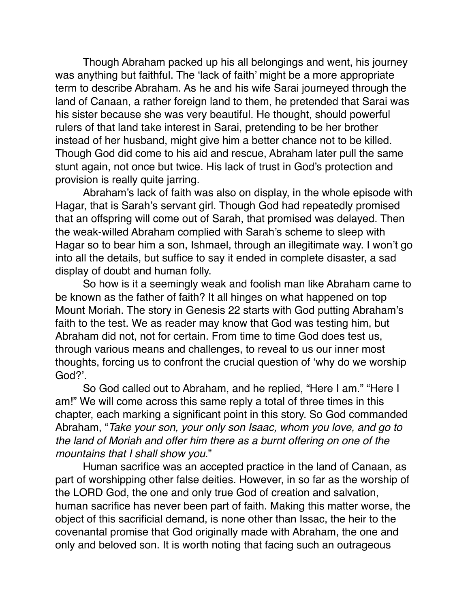Though Abraham packed up his all belongings and went, his journey was anything but faithful. The 'lack of faith' might be a more appropriate term to describe Abraham. As he and his wife Sarai journeyed through the land of Canaan, a rather foreign land to them, he pretended that Sarai was his sister because she was very beautiful. He thought, should powerful rulers of that land take interest in Sarai, pretending to be her brother instead of her husband, might give him a better chance not to be killed. Though God did come to his aid and rescue, Abraham later pull the same stunt again, not once but twice. His lack of trust in God's protection and provision is really quite jarring.

Abraham's lack of faith was also on display, in the whole episode with Hagar, that is Sarah's servant girl. Though God had repeatedly promised that an offspring will come out of Sarah, that promised was delayed. Then the weak-willed Abraham complied with Sarah's scheme to sleep with Hagar so to bear him a son, Ishmael, through an illegitimate way. I won't go into all the details, but suffice to say it ended in complete disaster, a sad display of doubt and human folly.

So how is it a seemingly weak and foolish man like Abraham came to be known as the father of faith? It all hinges on what happened on top Mount Moriah. The story in Genesis 22 starts with God putting Abraham's faith to the test. We as reader may know that God was testing him, but Abraham did not, not for certain. From time to time God does test us, through various means and challenges, to reveal to us our inner most thoughts, forcing us to confront the crucial question of 'why do we worship God?'.

So God called out to Abraham, and he replied, "Here I am." "Here I am!" We will come across this same reply a total of three times in this chapter, each marking a significant point in this story. So God commanded Abraham, "*Take your son, your only son Isaac, whom you love, and go to the land of Moriah and offer him there as a burnt offering on one of the mountains that I shall show you*."

Human sacrifice was an accepted practice in the land of Canaan, as part of worshipping other false deities. However, in so far as the worship of the LORD God, the one and only true God of creation and salvation, human sacrifice has never been part of faith. Making this matter worse, the object of this sacrificial demand, is none other than Issac, the heir to the covenantal promise that God originally made with Abraham, the one and only and beloved son. It is worth noting that facing such an outrageous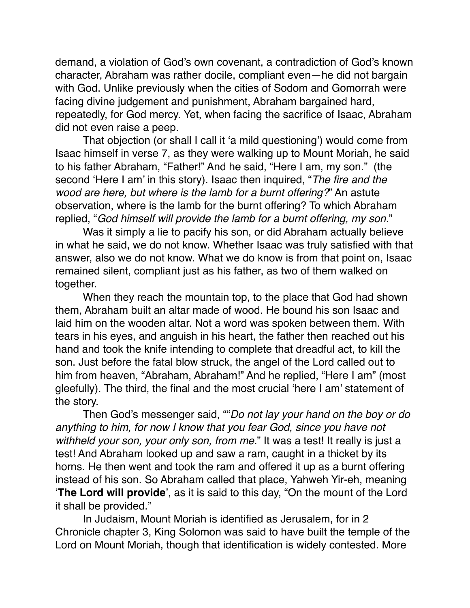demand, a violation of God's own covenant, a contradiction of God's known character, Abraham was rather docile, compliant even—he did not bargain with God. Unlike previously when the cities of Sodom and Gomorrah were facing divine judgement and punishment, Abraham bargained hard, repeatedly, for God mercy. Yet, when facing the sacrifice of Isaac, Abraham did not even raise a peep.

That objection (or shall I call it 'a mild questioning') would come from Isaac himself in verse 7, as they were walking up to Mount Moriah, he said to his father Abraham, "Father!" And he said, "Here I am, my son." (the second 'Here I am' in this story). Isaac then inquired, "*The fire and the wood are here, but where is the lamb for a burnt offering?*" An astute observation, where is the lamb for the burnt offering? To which Abraham replied, "*God himself will provide the lamb for a burnt offering, my son.*"

Was it simply a lie to pacify his son, or did Abraham actually believe in what he said, we do not know. Whether Isaac was truly satisfied with that answer, also we do not know. What we do know is from that point on, Isaac remained silent, compliant just as his father, as two of them walked on together.

When they reach the mountain top, to the place that God had shown them, Abraham built an altar made of wood. He bound his son Isaac and laid him on the wooden altar. Not a word was spoken between them. With tears in his eyes, and anguish in his heart, the father then reached out his hand and took the knife intending to complete that dreadful act, to kill the son. Just before the fatal blow struck, the angel of the Lord called out to him from heaven, "Abraham, Abraham!" And he replied, "Here I am" (most gleefully). The third, the final and the most crucial 'here I am' statement of the story.

Then God's messenger said, ""*Do not lay your hand on the boy or do anything to him, for now I know that you fear God, since you have not withheld your son, your only son, from me.*" It was a test! It really is just a test! And Abraham looked up and saw a ram, caught in a thicket by its horns. He then went and took the ram and offered it up as a burnt offering instead of his son. So Abraham called that place, Yahweh Yir-eh, meaning '**The Lord will provide**', as it is said to this day, "On the mount of the Lord it shall be provided."

In Judaism, Mount Moriah is identified as Jerusalem, for in 2 Chronicle chapter 3, King Solomon was said to have built the temple of the Lord on Mount Moriah, though that identification is widely contested. More